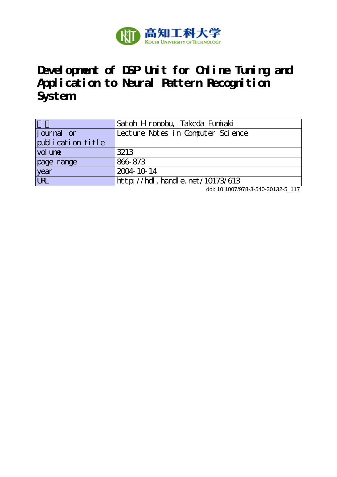

# **Development of DSP Unit for Online Tuning and Application to Neural Pattern Recognition System**

|                    | Satoh Hronobu, Takeda Funinaki    |
|--------------------|-----------------------------------|
| <i>j</i> ournal or | Lecture Notes in Computer Science |
| publication title  |                                   |
| vol une            | 3213                              |
| page range         | 866-873                           |
| year               | 2004-10-14                        |
| URL                | http://hdl.handle.net/10173/613   |

doi: 10.1007/978-3-540-30132-5\_117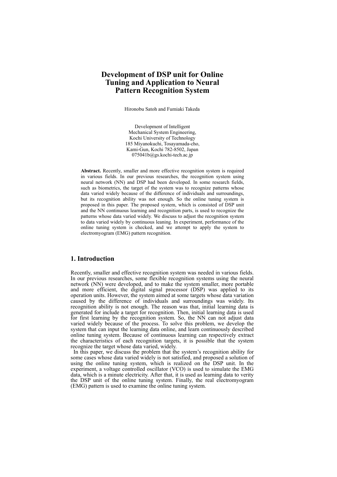# **Development of DSP unit for Online Tuning and Application to Neural Pattern Recognition System**

Hironobu Satoh and Fumiaki Takeda

Development of Intelligent Mechanical System Engineering, Kochi University of Technology 185 Miyanokuchi, Tosayamada-cho, Kami-Gun, Kochi 782-8502, Japan 075041b@gs.kochi-tech.ac.jp

**Abstract.** Recently, smaller and more effective recognition system is required in various fields. In our previous researches, the recognition system using neural network (NN) and DSP had been developed. In some research fields, such as biometrics, the target of the system was to recognize patterns whose data varied widely because of the difference of individuals and surroundings, but its recognition ability was not enough. So the online tuning system is proposed in this paper. The proposed system, which is consisted of DSP unit and the NN continuous learning and recognition parts, is used to recognize the patterns whose data varied widely. We discuss to adjust the recognition system to data varied widely by continuous leaning. In experiment, performance of the online tuning system is checked, and we attempt to apply the system to electromyogram (EMG) pattern recognition.

# **1. Introduction**

Recently, smaller and effective recognition system was needed in various fields. In our previous researches, some flexible recognition systems using the neural network (NN) were developed, and to make the system smaller, more portable and more efficient, the digital signal processor (DSP) was applied to its operation units. However, the system aimed at some targets whose data variation caused by the difference of individuals and surroundings was widely. Its recognition ability is not enough. The reason was that, initial learning data is generated for include a target for recognition. Then, initial learning data is used for first learning by the recognition system. So, the NN can not adjust data varied widely because of the process. To solve this problem, we develop the system that can input the learning data online, and learn continuously described online tuning system. Because of continuous learning can respectively extract the characteristics of each recognition targets, it is possible that the system recognize the target whose data varied, widely.

 In this paper, we discuss the problem that the system's recognition ability for some cases whose data varied widely is not satisfied, and proposed a solution of using the online tuning system, which is realized on the DSP unit. In the experiment, a voltage controlled oscillator (VCO) is used to simulate the EMG data, which is a minute electricity. After that, it is used as learning data to verity the DSP unit of the online tuning system. Finally, the real electromyogram (EMG) pattern is used to examine the online tuning system.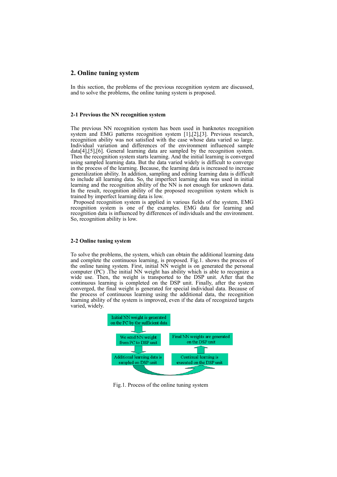## **2. Online tuning system**

In this section, the problems of the previous recognition system are discussed, and to solve the problems, the online tuning system is proposed.

# **2-1 Previous the NN recognition system**

The previous NN recognition system has been used in banknotes recognition system and EMG patterns recognition system [1],[2],[3]. Previous research, recognition ability was not satisfied with the case whose data varied so large. Individual variation and differences of the environment influenced sample data[4],[5],[6]. General learning data are sampled by the recognition system. Then the recognition system starts learning. And the initial learning is converged using sampled learning data. But the data varied widely is difficult to converge in the process of the learning. Because, the learning data is increased to increase generalization ability. In addition, sampling and editing learning data is difficult to include all learning data. So, the imperfect learning data was used in initial learning and the recognition ability of the NN is not enough for unknown data. In the result, recognition ability of the proposed recognition system which is trained by imperfect learning data is low.

Proposed recognition system is applied in various fields of the system, EMG recognition system is one of the examples. EMG data for learning and recognition data is influenced by differences of individuals and the environment. So, recognition ability is low.

#### **2-2 Online tuning system**

To solve the problems, the system, which can obtain the additional learning data and complete the continuous learning, is proposed. Fig.1. shows the process of the online tuning system. First, initial NN weight is on generated the personal computer (PC) .The initial NN weight has ability which is able to recognize a wide use. Then, the weight is transported to the DSP unit. After that the continuous learning is completed on the DSP unit. Finally, after the system converged, the final weight is generated for special individual data. Because of the process of continuous learning using the additional data, the recognition learning ability of the system is improved, even if the data of recognized targets varied, widely.



Fig.1. Process of the online tuning system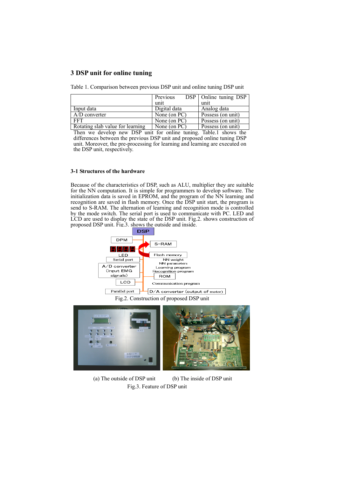# **3 DSP unit for online tuning**

Table 1. Comparison between previous DSP unit and online tuning DSP unit

|                                  | Previous     | DSP   Online tuning DSP |
|----------------------------------|--------------|-------------------------|
|                                  | unit         | unit                    |
| Input data                       | Digital data | Analog data             |
| $A/D$ converter                  | None (on PC) | Possess (on unit)       |
| <b>FFT</b>                       | None (on PC) | Possess (on unit)       |
| Rotating slab value for learning | None (on PC) | Possess (on unit)       |

Then we develop new DSP unit for online tuning. Table.1 shows the differences between the previous DSP unit and proposed online tuning DSP unit. Moreover, the pre-processing for learning and learning are executed on the DSP unit, respectively.

#### **3-1 Structures of the hardware**

Because of the characteristics of DSP, such as ALU, multiplier they are suitable for the NN computation. It is simple for programmers to develop software. The initialization data is saved in EPROM, and the program of the NN learning and recognition are saved in flash memory. Once the DSP unit start, the program is send to S-RAM. The alternation of learning and recognition mode is controlled by the mode switch. The serial port is used to communicate with PC. LED and LCD are used to display the state of the DSP unit. Fig.2. shows construction of proposed DSP unit. Fig.3. shows the outside and inside.







(a) The outside of DSP unit (b) The inside of DSP unit Fig.3. Feature of DSP unit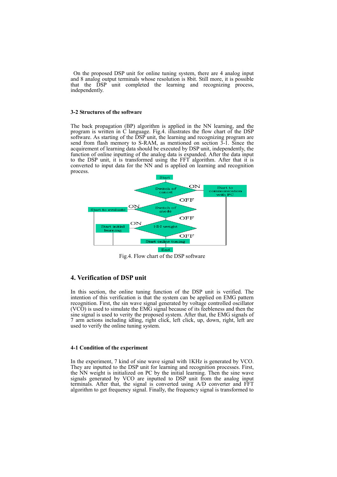On the proposed DSP unit for online tuning system, there are 4 analog input and 8 analog output terminals whose resolution is 8bit. Still more, it is possible that the DSP unit completed the learning and recognizing process, independently.

#### **3-2 Structures of the software**

The back propagation (BP) algorithm is applied in the NN learning, and the program is written in C language. Fig.4. illustrates the flow chart of the DSP software. As starting of the DSP unit, the learning and recognizing program are send from flash memory to S-RAM, as mentioned on section 3-1. Since the acquirement of learning data should be executed by DSP unit, independently, the function of online inputting of the analog data is expanded. After the data input to the DSP unit, it is transformed using the FFT algorithm. After that it is converted to input data for the NN and is applied on learning and recognition process.



Fig.4. Flow chart of the DSP software

# **4. Verification of DSP unit**

In this section, the online tuning function of the DSP unit is verified. The intention of this verification is that the system can be applied on EMG pattern recognition. First, the sin wave signal generated by voltage controlled oscillator (VCO) is used to simulate the EMG signal because of its feebleness and then the sine signal is used to verity the proposed system. After that, the EMG signals of 7 arm actions including idling, right click, left click, up, down, right, left are used to verify the online tuning system.

## **4-1 Condition of the experiment**

In the experiment, 7 kind of sine wave signal with 1KHz is generated by VCO. They are inputted to the DSP unit for learning and recognition processes. First, the NN weight is initialized on PC by the initial learning. Then the sine wave signals generated by VCO are inputted to DSP unit from the analog input terminals. After that, the signal is converted using A/D converter and FFT algorithm to get frequency signal. Finally, the frequency signal is transformed to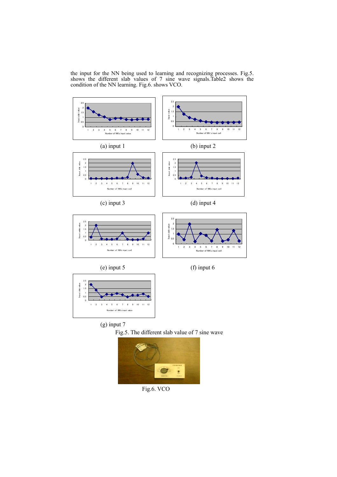the input for the NN being used to learning and recognizing processes. Fig.5. shows the different slab values of 7 sine wave signals.Table2 shows the condition of the NN learning. Fig.6. shows VCO.





Fig.5. The different slab value of 7 sine wave



Fig.6. VCO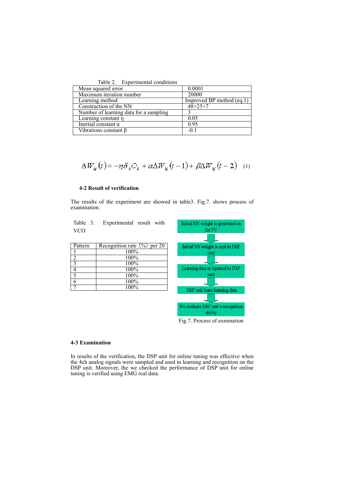Table 2. Experimental conditions

| Mean squared error                     | 0.0001                      |
|----------------------------------------|-----------------------------|
| Maximum iteration number               | 20000                       |
| Learning method                        | Improved BP method $(eq.1)$ |
| Construction of the NN                 | $48\times25\times7$         |
| Number of learning data for a sampling |                             |
| Learning constant $\eta$               | 0.05                        |
| Inertial constant $\alpha$             | 0.95                        |
| Vibrations constant $\beta$            | $-0.1$                      |
|                                        |                             |

$$
\Delta W_{k}\left(t\right)\!=-\eta\delta_{k}O_{k}+\alpha\Delta W_{k}\left(t-1\right)\!+\beta\Delta W_{k}\left(t-2\right)\quad \mathrm{(1)}
$$

# **4-2 Result of verification**

The results of the experiment are showed in table3. Fig.7. shows process of examination.

Table 3. Experimental result with VCO

| Pattern | Recognition rate $(\% )$ per 20 |
|---------|---------------------------------|
|         | 100%                            |
|         | 100%                            |
|         | 100%                            |
|         | 100%                            |
|         | 100%                            |
|         | 100%                            |
|         | 100%                            |



Fig.7. Process of exmination

### **4-3 Examination**

In results of the verification, the DSP unit for online tuning was effective when the 4ch analog signals were sampled and used in learning and recognition on the DSP unit. Moreover, the we checked the performance of DSP unit for online tuning is verified using EMG real data.